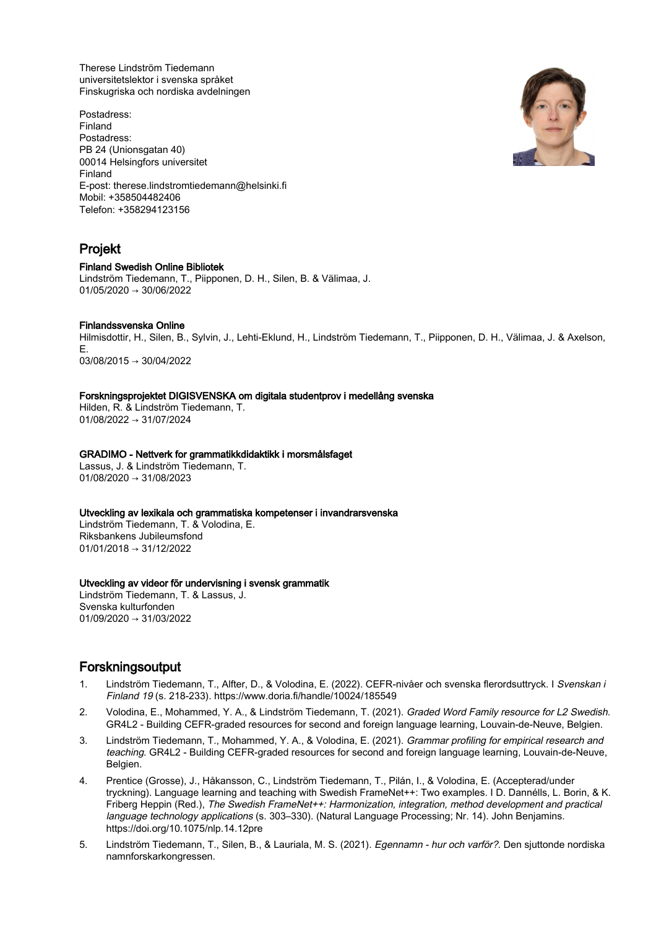Therese Lindström Tiedemann universitetslektor i svenska språket Finskugriska och nordiska avdelningen

Postadress: Finland Postadress: PB 24 (Unionsgatan 40) 00014 Helsingfors universitet Finland E-post: therese.lindstromtiedemann@helsinki.fi Mobil: +358504482406 Telefon: +358294123156

# Projekt

# Finland Swedish Online Bibliotek

Lindström Tiedemann, T., Piipponen, D. H., Silen, B. & Välimaa, J. 01/05/2020 → 30/06/2022

# Finlandssvenska Online

Hilmisdottir, H., Silen, B., Sylvin, J., Lehti-Eklund, H., Lindström Tiedemann, T., Piipponen, D. H., Välimaa, J. & Axelson, E. 03/08/2015 → 30/04/2022

#### Forskningsprojektet DIGISVENSKA om digitala studentprov i medellång svenska

Hilden, R. & Lindström Tiedemann, T. 01/08/2022 → 31/07/2024

#### GRADIMO - Nettverk for grammatikkdidaktikk i morsmålsfaget

Lassus, J. & Lindström Tiedemann, T. 01/08/2020 → 31/08/2023

#### Utveckling av lexikala och grammatiska kompetenser i invandrarsvenska

Lindström Tiedemann, T. & Volodina, E. Riksbankens Jubileumsfond 01/01/2018 → 31/12/2022

# Utveckling av videor för undervisning i svensk grammatik

Lindström Tiedemann, T. & Lassus, J. Svenska kulturfonden  $01/09/2020 \rightarrow 31/03/2022$ 

# Forskningsoutput

- 1. Lindström Tiedemann, T., Alfter, D., & Volodina, E. (2022). CEFR-nivåer och svenska flerordsuttryck. I Svenskan i Finland 19 (s. 218-233). https://www.doria.fi/handle/10024/185549
- 2. Volodina, E., Mohammed, Y. A., & Lindström Tiedemann, T. (2021). Graded Word Family resource for L2 Swedish. GR4L2 - Building CEFR-graded resources for second and foreign language learning, Louvain-de-Neuve, Belgien.
- 3. Lindström Tiedemann, T., Mohammed, Y. A., & Volodina, E. (2021). Grammar profiling for empirical research and teaching. GR4L2 - Building CEFR-graded resources for second and foreign language learning, Louvain-de-Neuve, Belgien.
- 4. Prentice (Grosse), J., Håkansson, C., Lindström Tiedemann, T., Pilán, I., & Volodina, E. (Accepterad/under tryckning). Language learning and teaching with Swedish FrameNet++: Two examples. I D. Dannélls, L. Borin, & K. Friberg Heppin (Red.), The Swedish FrameNet++: Harmonization, integration, method development and practical language technology applications (s. 303–330). (Natural Language Processing; Nr. 14). John Benjamins. https://doi.org/10.1075/nlp.14.12pre
- 5. Lindström Tiedemann, T., Silen, B., & Lauriala, M. S. (2021). Egennamn hur och varför?. Den sjuttonde nordiska namnforskarkongressen.

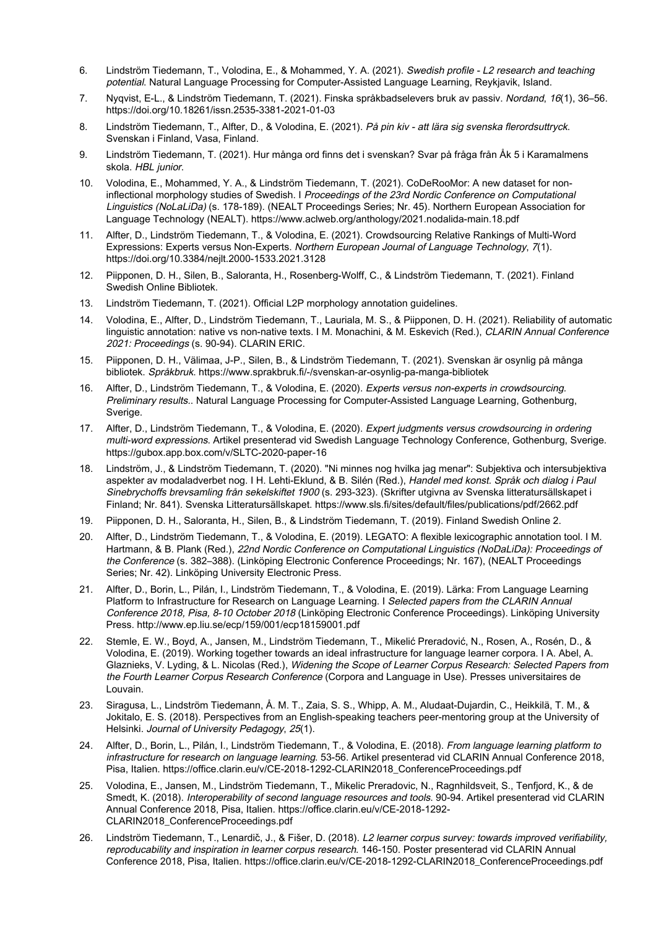- 6. Lindström Tiedemann, T., Volodina, E., & Mohammed, Y. A. (2021). Swedish profile L2 research and teaching potential. Natural Language Processing for Computer-Assisted Language Learning, Reykjavik, Island.
- 7. Nyqvist, E-L., & Lindström Tiedemann, T. (2021). Finska språkbadselevers bruk av passiv. Nordand, 16(1), 36–56. https://doi.org/10.18261/issn.2535-3381-2021-01-03
- 8. Lindström Tiedemann, T., Alfter, D., & Volodina, E. (2021). På pin kiv att lära sig svenska flerordsuttryck. Svenskan i Finland, Vasa, Finland.
- 9. Lindström Tiedemann, T. (2021). Hur många ord finns det i svenskan? Svar på fråga från Åk 5 i Karamalmens skola. HBL junior.
- 10. Volodina, E., Mohammed, Y. A., & Lindström Tiedemann, T. (2021). CoDeRooMor: A new dataset for noninflectional morphology studies of Swedish. I Proceedings of the 23rd Nordic Conference on Computational Linguistics (NoLaLiDa) (s. 178-189). (NEALT Proceedings Series; Nr. 45). Northern European Association for Language Technology (NEALT). https://www.aclweb.org/anthology/2021.nodalida-main.18.pdf
- 11. Alfter, D., Lindström Tiedemann, T., & Volodina, E. (2021). Crowdsourcing Relative Rankings of Multi-Word Expressions: Experts versus Non-Experts. Northern European Journal of Language Technology, 7(1). https://doi.org/10.3384/nejlt.2000-1533.2021.3128
- 12. Piipponen, D. H., Silen, B., Saloranta, H., Rosenberg-Wolff, C., & Lindström Tiedemann, T. (2021). Finland Swedish Online Bibliotek.
- 13. Lindström Tiedemann, T. (2021). Official L2P morphology annotation guidelines.
- 14. Volodina, E., Alfter, D., Lindström Tiedemann, T., Lauriala, M. S., & Piipponen, D. H. (2021). Reliability of automatic linguistic annotation: native vs non-native texts. I M. Monachini, & M. Eskevich (Red.), CLARIN Annual Conference 2021: Proceedings (s. 90-94). CLARIN ERIC.
- 15. Piipponen, D. H., Välimaa, J-P., Silen, B., & Lindström Tiedemann, T. (2021). Svenskan är osynlig på många bibliotek. Språkbruk. https://www.sprakbruk.fi/-/svenskan-ar-osynlig-pa-manga-bibliotek
- 16. Alfter, D., Lindström Tiedemann, T., & Volodina, E. (2020). Experts versus non-experts in crowdsourcing. Preliminary results.. Natural Language Processing for Computer-Assisted Language Learning, Gothenburg, Sverige.
- 17. Alfter, D., Lindström Tiedemann, T., & Volodina, E. (2020). Expert judgments versus crowdsourcing in ordering multi-word expressions. Artikel presenterad vid Swedish Language Technology Conference, Gothenburg, Sverige. https://gubox.app.box.com/v/SLTC-2020-paper-16
- 18. Lindström, J., & Lindström Tiedemann, T. (2020). "Ni minnes nog hvilka jag menar": Subjektiva och intersubjektiva aspekter av modaladverbet nog. I H. Lehti-Eklund, & B. Silén (Red.), Handel med konst. Språk och dialog i Paul Sinebrychoffs brevsamling från sekelskiftet 1900 (s. 293-323). (Skrifter utgivna av Svenska litteratursällskapet i Finland; Nr. 841). Svenska Litteratursällskapet. https://www.sls.fi/sites/default/files/publications/pdf/2662.pdf
- 19. Piipponen, D. H., Saloranta, H., Silen, B., & Lindström Tiedemann, T. (2019). Finland Swedish Online 2.
- 20. Alfter, D., Lindström Tiedemann, T., & Volodina, E. (2019). LEGATO: A flexible lexicographic annotation tool. I M. Hartmann, & B. Plank (Red.), 22nd Nordic Conference on Computational Linguistics (NoDaLiDa): Proceedings of the Conference (s. 382–388). (Linköping Electronic Conference Proceedings; Nr. 167), (NEALT Proceedings Series; Nr. 42). Linköping University Electronic Press.
- 21. Alfter, D., Borin, L., Pilán, I., Lindström Tiedemann, T., & Volodina, E. (2019). Lärka: From Language Learning Platform to Infrastructure for Research on Language Learning. I Selected papers from the CLARIN Annual Conference 2018, Pisa, 8-10 October 2018 (Linköping Electronic Conference Proceedings). Linköping University Press. http://www.ep.liu.se/ecp/159/001/ecp18159001.pdf
- 22. Stemle, E. W., Boyd, A., Jansen, M., Lindström Tiedemann, T., Mikelić Preradović, N., Rosen, A., Rosén, D., & Volodina, E. (2019). Working together towards an ideal infrastructure for language learner corpora. I A. Abel, A. Glaznieks, V. Lyding, & L. Nicolas (Red.), Widening the Scope of Learner Corpus Research: Selected Papers from the Fourth Learner Corpus Research Conference (Corpora and Language in Use). Presses universitaires de Louvain.
- 23. Siragusa, L., Lindström Tiedemann, Å. M. T., Zaia, S. S., Whipp, A. M., Aludaat-Dujardin, C., Heikkilä, T. M., & Jokitalo, E. S. (2018). Perspectives from an English-speaking teachers peer-mentoring group at the University of Helsinki. Journal of University Pedagogy, 25(1).
- 24. Alfter, D., Borin, L., Pilán, I., Lindström Tiedemann, T., & Volodina, E. (2018). From language learning platform to infrastructure for research on language learning. 53-56. Artikel presenterad vid CLARIN Annual Conference 2018, Pisa, Italien. https://office.clarin.eu/v/CE-2018-1292-CLARIN2018\_ConferenceProceedings.pdf
- 25. Volodina, E., Jansen, M., Lindström Tiedemann, T., Mikelic Preradovic, N., Ragnhildsveit, S., Tenfjord, K., & de Smedt, K. (2018). Interoperability of second language resources and tools. 90-94. Artikel presenterad vid CLARIN Annual Conference 2018, Pisa, Italien. https://office.clarin.eu/v/CE-2018-1292- CLARIN2018\_ConferenceProceedings.pdf
- 26. Lindström Tiedemann, T., Lenardič, J., & Fišer, D. (2018). L2 learner corpus survey: towards improved verifiability, reproducability and inspiration in learner corpus research. 146-150. Poster presenterad vid CLARIN Annual Conference 2018, Pisa, Italien. https://office.clarin.eu/v/CE-2018-1292-CLARIN2018\_ConferenceProceedings.pdf